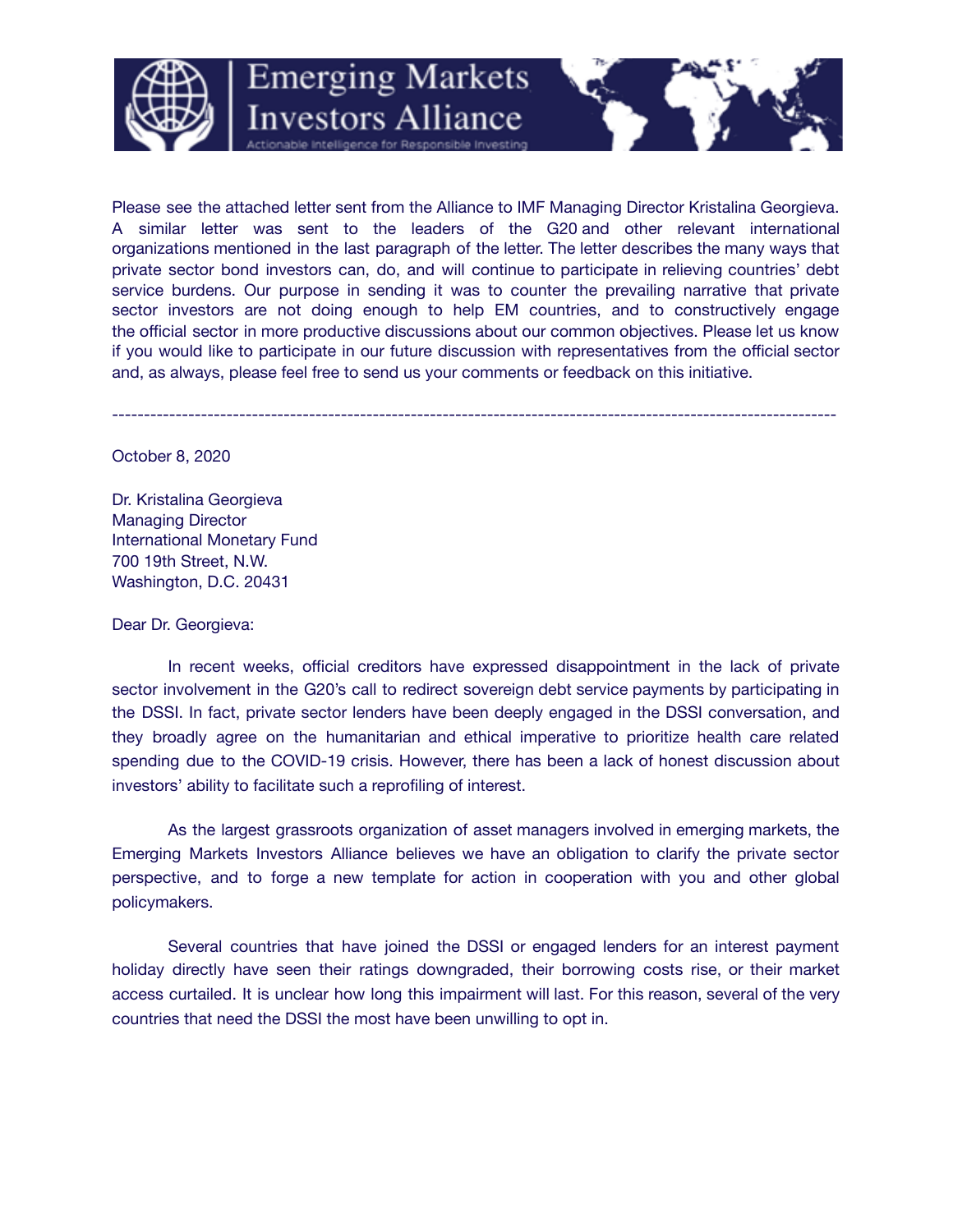

Please see the attached letter sent from the Alliance to IMF Managing Director Kristalina Georgieva. A similar letter was sent to the leaders of the G20 and other relevant international organizations mentioned in the last paragraph of the letter. The letter describes the many ways that private sector bond investors can, do, and will continue to participate in relieving countries' debt service burdens. Our purpose in sending it was to counter the prevailing narrative that private sector investors are not doing enough to help EM countries, and to constructively engage the official sector in more productive discussions about our common objectives. Please let us know if you would like to participate in our future discussion with representatives from the official sector and, as always, please feel free to send us your comments or feedback on this initiative.

**Emerging Markets** 

**Investors Alliance** 

------------------------------------------------------------------------------------------------------------------

October 8, 2020

Dr. Kristalina Georgieva Managing Director International Monetary Fund 700 19th Street, N.W. Washington, D.C. 20431

Dear Dr. Georgieva:

In recent weeks, official creditors have expressed disappointment in the lack of private sector involvement in the G20's call to redirect sovereign debt service payments by participating in the DSSI. In fact, private sector lenders have been deeply engaged in the DSSI conversation, and they broadly agree on the humanitarian and ethical imperative to prioritize health care related spending due to the COVID-19 crisis. However, there has been a lack of honest discussion about investors' ability to facilitate such a reprofiling of interest.

As the largest grassroots organization of asset managers involved in emerging markets, the Emerging Markets Investors Alliance believes we have an obligation to clarify the private sector perspective, and to forge a new template for action in cooperation with you and other global policymakers.

Several countries that have joined the DSSI or engaged lenders for an interest payment holiday directly have seen their ratings downgraded, their borrowing costs rise, or their market access curtailed. It is unclear how long this impairment will last. For this reason, several of the very countries that need the DSSI the most have been unwilling to opt in.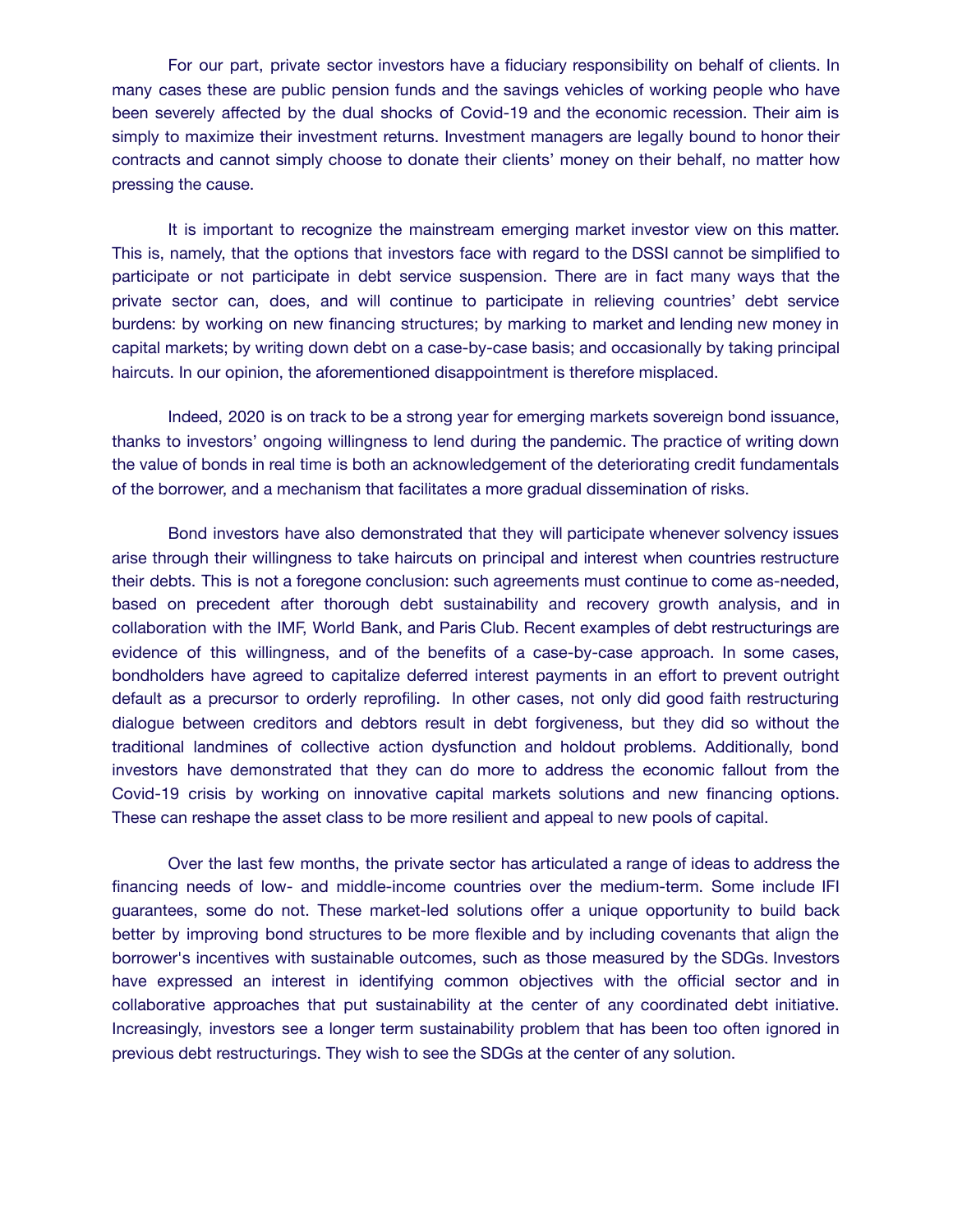For our part, private sector investors have a fiduciary responsibility on behalf of clients. In many cases these are public pension funds and the savings vehicles of working people who have been severely affected by the dual shocks of Covid-19 and the economic recession. Their aim is simply to maximize their investment returns. Investment managers are legally bound to honor their contracts and cannot simply choose to donate their clients' money on their behalf, no matter how pressing the cause.

It is important to recognize the mainstream emerging market investor view on this matter. This is, namely, that the options that investors face with regard to the DSSI cannot be simplified to participate or not participate in debt service suspension. There are in fact many ways that the private sector can, does, and will continue to participate in relieving countries' debt service burdens: by working on new financing structures; by marking to market and lending new money in capital markets; by writing down debt on a case-by-case basis; and occasionally by taking principal haircuts. In our opinion, the aforementioned disappointment is therefore misplaced.

Indeed, 2020 is on track to be a strong year for emerging markets sovereign bond issuance, thanks to investors' ongoing willingness to lend during the pandemic. The practice of writing down the value of bonds in real time is both an acknowledgement of the deteriorating credit fundamentals of the borrower, and a mechanism that facilitates a more gradual dissemination of risks.

Bond investors have also demonstrated that they will participate whenever solvency issues arise through their willingness to take haircuts on principal and interest when countries restructure their debts. This is not a foregone conclusion: such agreements must continue to come as-needed, based on precedent after thorough debt sustainability and recovery growth analysis, and in collaboration with the IMF, World Bank, and Paris Club. Recent examples of debt restructurings are evidence of this willingness, and of the benefits of a case-by-case approach. In some cases, bondholders have agreed to capitalize deferred interest payments in an effort to prevent outright default as a precursor to orderly reprofiling. In other cases, not only did good faith restructuring dialogue between creditors and debtors result in debt forgiveness, but they did so without the traditional landmines of collective action dysfunction and holdout problems. Additionally, bond investors have demonstrated that they can do more to address the economic fallout from the Covid-19 crisis by working on innovative capital markets solutions and new financing options. These can reshape the asset class to be more resilient and appeal to new pools of capital.

Over the last few months, the private sector has articulated a range of ideas to address the financing needs of low- and middle-income countries over the medium-term. Some include IFI guarantees, some do not. These market-led solutions offer a unique opportunity to build back better by improving bond structures to be more flexible and by including covenants that align the borrower's incentives with sustainable outcomes, such as those measured by the SDGs. Investors have expressed an interest in identifying common objectives with the official sector and in collaborative approaches that put sustainability at the center of any coordinated debt initiative. Increasingly, investors see a longer term sustainability problem that has been too often ignored in previous debt restructurings. They wish to see the SDGs at the center of any solution.